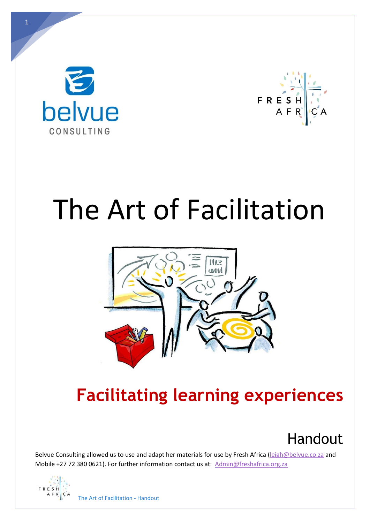



# The Art of Facilitation



## **Facilitating learning experiences**



Belvue Consulting allowed us to use and adapt her materials for use by Fresh Africa [\(leigh@belvue.co.za](mailto:leigh@belvue.co.za) and Mobile +27 72 380 0621). For further information contact us at: [Admin@freshafrica.org.za](mailto:Admin@freshafrica.org.za)

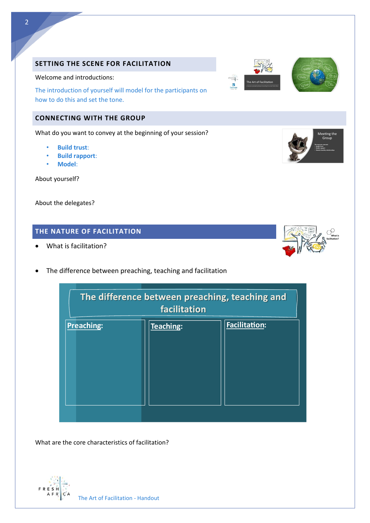### **SETTING THE SCENE FOR FACILITATION**

#### Welcome and introductions:

The introduction of yourself will model for the participants on how to do this and set the tone.

#### **CONNECTING WITH THE GROUP**

What do you want to convey at the beginning of your session?

- **Build trust**:
- **Build rapport**:
- **Model**:

About yourself?

About the delegates?

### **THE NATURE OF FACILITATION**

**Preaching:** 

- What is facilitation?
- The difference between preaching, teaching and facilitation

What are the core characteristics of facilitation?



The difference between preaching, teaching and facilitation

Teaching:



**Facilitation:** 





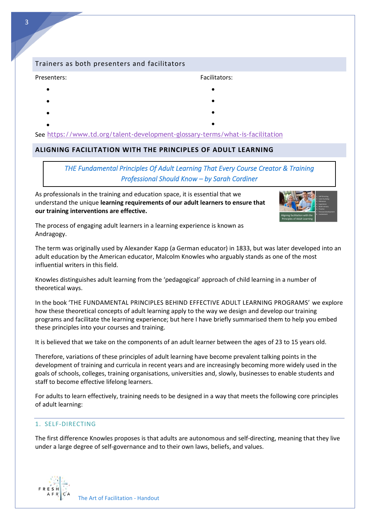#### Trainers as both presenters and facilitators

#### Presenters:

- •
- •
- •
- • •

See <https://www.td.org/talent-development-glossary-terms/what-is-facilitation>

#### **ALIGNING FACILITATION WITH THE PRINCIPLES OF ADULT LEARNING**

#### *THE Fundamental Principles Of Adult Learning That Every Course Creator & Training Professional Should Know – by Sarah Cordiner*

Facilitators:

• •

As professionals in the training and education space, it is essential that we understand the unique **learning requirements of our adult learners to ensure that our training interventions are effective.**



The process of engaging adult learners in a learning experience is known as Andragogy.

The term was originally used by Alexander Kapp (a German educator) in 1833, but was later developed into an adult education by the American educator, Malcolm Knowles who arguably stands as one of the most influential writers in this field.

Knowles distinguishes adult learning from the 'pedagogical' approach of child learning in a number of theoretical ways.

In the book 'THE FUNDAMENTAL PRINCIPLES BEHIND EFFECTIVE ADULT LEARNING PROGRAMS' we explore how these theoretical concepts of adult learning apply to the way we design and develop our training programs and facilitate the learning experience; but here I have briefly summarised them to help you embed these principles into your courses and training.

It is believed that we take on the components of an adult learner between the ages of 23 to 15 years old.

Therefore, variations of these principles of adult learning have become prevalent talking points in the development of training and curricula in recent years and are increasingly becoming more widely used in the goals of schools, colleges, training organisations, universities and, slowly, businesses to enable students and staff to become effective lifelong learners.

For adults to learn effectively, training needs to be designed in a way that meets the following core principles of adult learning:

#### 1. SELF-DIRECTING

The first difference Knowles proposes is that adults are autonomous and self-directing, meaning that they live under a large degree of self-governance and to their own laws, beliefs, and values.

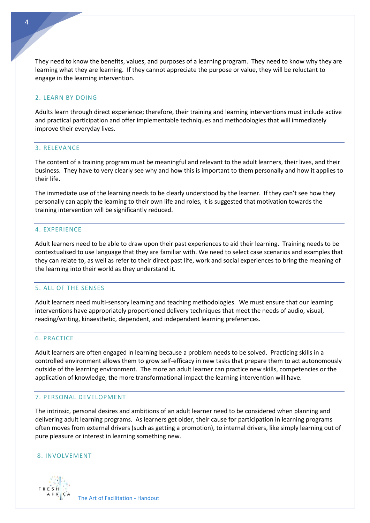They need to know the benefits, values, and purposes of a learning program. They need to know why they are learning what they are learning. If they cannot appreciate the purpose or value, they will be reluctant to engage in the learning intervention.

#### 2. LEARN BY DOING

Adults learn through direct experience; therefore, their training and learning interventions must include active and practical participation and offer implementable techniques and methodologies that will immediately improve their everyday lives.

#### 3. RELEVANCE

The content of a training program must be meaningful and relevant to the adult learners, their lives, and their business. They have to very clearly see why and how this is important to them personally and how it applies to their life.

The immediate use of the learning needs to be clearly understood by the learner. If they can't see how they personally can apply the learning to their own life and roles, it is suggested that motivation towards the training intervention will be significantly reduced.

#### 4. EXPERIENCE

Adult learners need to be able to draw upon their past experiences to aid their learning. Training needs to be contextualised to use language that they are familiar with. We need to select case scenarios and examples that they can relate to, as well as refer to their direct past life, work and social experiences to bring the meaning of the learning into their world as they understand it.

#### 5. ALL OF THE SENSES

Adult learners need multi-sensory learning and teaching methodologies. We must ensure that our learning interventions have appropriately proportioned delivery techniques that meet the needs of audio, visual, reading/writing, kinaesthetic, dependent, and independent learning preferences.

#### 6. PRACTICE

Adult learners are often engaged in learning because a problem needs to be solved. Practicing skills in a controlled environment allows them to grow self-efficacy in new tasks that prepare them to act autonomously outside of the learning environment. The more an adult learner can practice new skills, competencies or the application of knowledge, the more transformational impact the learning intervention will have.

#### 7. PERSONAL DEVELOPMENT

The intrinsic, personal desires and ambitions of an adult learner need to be considered when planning and delivering adult learning programs. As learners get older, their cause for participation in learning programs often moves from external drivers (such as getting a promotion), to internal drivers, like simply learning out of pure pleasure or interest in learning something new.

#### 8. INVOLVEMENT



The Art of Facilitation - Handout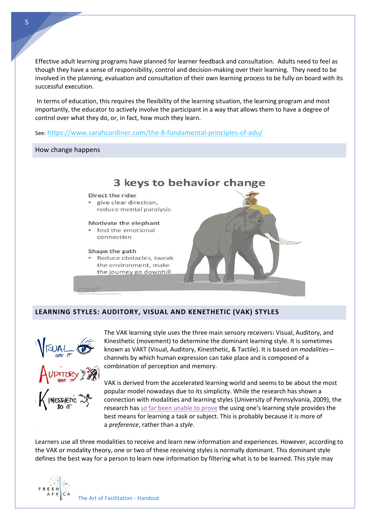Effective adult learning programs have planned for learner feedback and consultation. Adults need to feel as though they have a sense of responsibility, control and decision-making over their learning. They need to be involved in the planning, evaluation and consultation of their own learning process to be fully on board with its successful execution.

In terms of education, this requires the flexibility of the learning situation, the learning program and most importantly, the educator to actively involve the participant in a way that allows them to have a degree of control over what they do, or, in fact, how much they learn.

#### See: <https://www.sarahcordiner.com/the-8-fundamental-principles-of-adu/>

How change happens



#### **LEARNING STYLES: AUDITORY, VISUAL AND KENETHETIC (VAK) STYLES**



The VAK learning style uses the three main sensory receivers: Visual, Auditory, and Kinesthetic (movement) to determine the dominant learning style. It is sometimes known as VAKT (Visual, Auditory, Kinesthetic, & Tactile). It is based on *modalities* channels by which human expression can take place and is composed of a combination of perception and memory.

VAK is derived from the accelerated learning world and seems to be about the most popular model nowadays due to its simplicity. While the research has shown a connection with modalities and learning styles (University of Pennsylvania, 2009), the research has [so far been unable to prove](http://www.nwlink.com/~donclark/hrd/styles.html) the using one's learning style provides the best means for learning a task or subject. This is probably because it is more of a *preference*, rather than a *style*.

Learners use all three modalities to receive and learn new information and experiences. However, according to the VAK or modality theory, one or two of these receiving styles is normally dominant. This dominant style defines the best way for a person to learn new information by filtering what is to be learned. This style may



5

The Art of Facilitation - Handout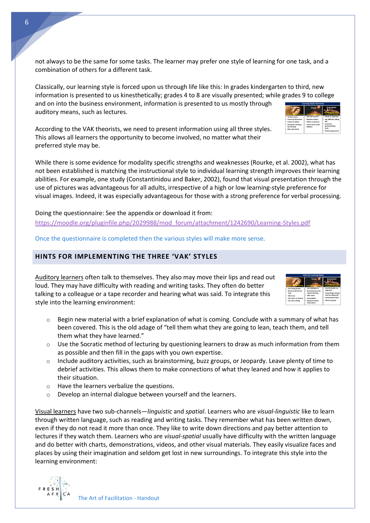not always to be the same for some tasks. The learner may prefer one style of learning for one task, and a combination of others for a different task.

Classically, our learning style is forced upon us through life like this: In grades kindergarten to third, new information is presented to us kinesthetically; grades 4 to 8 are visually presented; while grades 9 to college and on into the business environment, information is presented to us mostly through auditory means, such as lectures.

According to the VAK theorists, we need to present information using all three styles. This allows all learners the opportunity to become involved, no matter what their preferred style may be.

While there is some evidence for modality specific strengths and weaknesses (Rourke, et al. 2002), what has not been established is matching the instructional style to individual learning strength improves their learning abilities. For example, one study (Constantinidou and Baker, 2002), found that visual presentation through the use of pictures was advantageous for all adults, irrespective of a high or low learning-style preference for visual images. Indeed, it was especially advantageous for those with a strong preference for verbal processing.

Doing the questionnaire: See the appendix or download it from: [https://moodle.org/pluginfile.php/2029988/mod\\_forum/attachment/1242690/Learning-Styles.pdf](https://moodle.org/pluginfile.php/2029988/mod_forum/attachment/1242690/Learning-Styles.pdf)

Once the questionnaire is completed then the various styles will make more sense.

#### **HINTS FOR IMPLEMENTING THE THREE 'VAK' STYLES**

Auditory learners often talk to themselves. They also may move their lips and read out loud. They may have difficulty with reading and writing tasks. They often do better talking to a colleague or a tape recorder and hearing what was said. To integrate this style into the learning environment:

- $\circ$  Begin new material with a brief explanation of what is coming. Conclude with a summary of what has been covered. This is the old adage of "tell them what they are going to lean, teach them, and tell them what they have learned."
- $\circ$  Use the Socratic method of lecturing by questioning learners to draw as much information from them as possible and then fill in the gaps with you own expertise.
- o Include auditory activities, such as brainstorming, buzz groups, or Jeopardy. Leave plenty of time to debrief activities. This allows them to make connections of what they leaned and how it applies to their situation.
- o Have the learners verbalize the questions.
- o Develop an internal dialogue between yourself and the learners.

Visual learners have two sub-channels—*linguistic* and *spatial*. Learners who are *visual-linguistic* like to learn through written language, such as reading and writing tasks. They remember what has been written down, even if they do not read it more than once. They like to write down directions and pay better attention to lectures if they watch them. Learners who are *visual-spatial* usually have difficulty with the written language and do better with charts, demonstrations, videos, and other visual materials. They easily visualize faces and places by using their imagination and seldom get lost in new surroundings. To integrate this style into the learning environment:





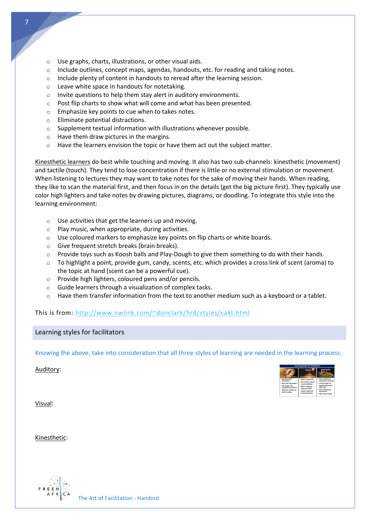- o Use graphs, charts, illustrations, or other visual aids.
- $\circ$  Include outlines, concept maps, agendas, handouts, etc. for reading and taking notes.
- o Include plenty of content in handouts to reread after the learning session.
- o Leave white space in handouts for notetaking.
- o Invite questions to help them stay alert in auditory environments.
- o Post flip charts to show what will come and what has been presented.
- o Emphasize key points to cue when to takes notes.
- o Eliminate potential distractions.
- o Supplement textual information with illustrations whenever possible.
- o Have them draw pictures in the margins.
- $\circ$  Have the learners envision the topic or have them act out the subject matter.

Kinesthetic learners do best while touching and moving. It also has two sub-channels: kinesthetic (movement) and tactile (touch). They tend to lose concentration if there is little or no external stimulation or movement. When listening to lectures they may want to take notes for the sake of moving their hands. When reading, they like to scan the material first, and then focus in on the details (get the big picture first). They typically use color high lighters and take notes by drawing pictures, diagrams, or doodling. To integrate this style into the learning environment:

- o Use activities that get the learners up and moving.
- o Play music, when appropriate, during activities.
- o Use coloured markers to emphasize key points on flip charts or white boards.
- o Give frequent stretch breaks (brain breaks).
- $\circ$  Provide toys such as Koosh balls and Play-Dough to give them something to do with their hands.
- o To highlight a point, provide gum, candy, scents, etc. which provides a cross link of scent (aroma) to the topic at hand (scent can be a powerful cue).
- o Provide high lighters, coloured pens and/or pencils.
- o Guide learners through a visualization of complex tasks.
- $\circ$  Have them transfer information from the text to another medium such as a keyboard or a tablet.

This is from:<http://www.nwlink.com/~donclark/hrd/styles/vakt.html>

#### Learning styles for facilitators

Knowing the above, take into consideration that all three styles of learning are needed in the learning process:

Auditory:



Visual:

Kinesthetic:

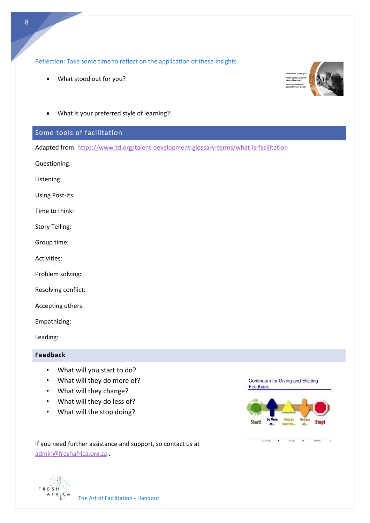Reflection: Take some time to reflect on the application of these insights.

- What stood out for you?
- What is your preferred style of learning?

#### Some tools of facilitation

Adapted from[: https://www.td.org/talent-development-glossary-terms/what-is-facilitation](https://www.td.org/talent-development-glossary-terms/what-is-facilitation)

Questioning:

Listening:

Using Post-its:

Time to think:

Story Telling:

Group time:

Activities:

Problem solving:

Resolving conflict:

Accepting others:

Empathizing:

Leading:

#### **Feedback**

- What will you start to do?
- What will they do more of?
- What will they change?
- What will they do less of?
- What will the stop doing?

Continuum for Giving and Eliciting Feedback



If you need further assistance and support, so contact us at [admin@freshafrica.org.za](mailto:admin@freshafrica.org.za) .